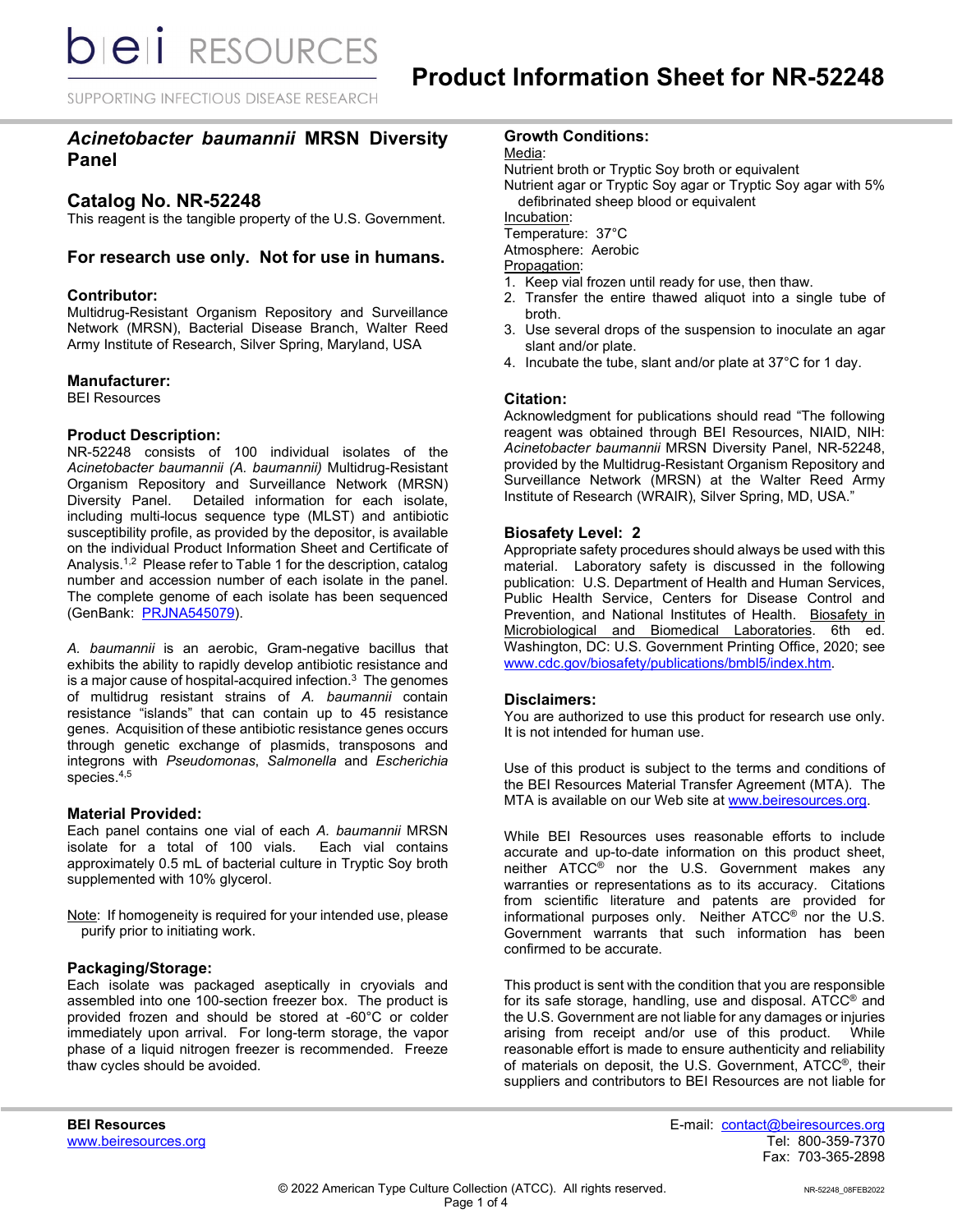SUPPORTING INFECTIOUS DISEASE RESEARCH

# *Acinetobacter baumannii* **MRSN Diversity Panel**

# **Catalog No. NR-52248**

This reagent is the tangible property of the U.S. Government.

# **For research use only. Not for use in humans.**

### **Contributor:**

Multidrug-Resistant Organism Repository and Surveillance Network (MRSN), Bacterial Disease Branch, Walter Reed Army Institute of Research, Silver Spring, Maryland, USA

#### **Manufacturer:**

BEI Resources

### **Product Description:**

NR-52248 consists of 100 individual isolates of the *Acinetobacter baumannii (A. baumannii)* Multidrug-Resistant Organism Repository and Surveillance Network (MRSN) Diversity Panel. Detailed information for each isolate, including multi-locus sequence type (MLST) and antibiotic susceptibility profile, as provided by the depositor, is available on the individual Product Information Sheet and Certificate of Analysis.<sup>1,2</sup> Please refer to Table 1 for the description, catalog number and accession number of each isolate in the panel. The complete genome of each isolate has been sequenced (GenBank: [PRJNA545079\)](https://www.ncbi.nlm.nih.gov/bioproject/PRJNA545079).

*A. baumannii* is an aerobic, Gram-negative bacillus that exhibits the ability to rapidly develop antibiotic resistance and is a major cause of hospital-acquired infection. $3$  The genomes of multidrug resistant strains of *A. baumannii* contain resistance "islands" that can contain up to 45 resistance genes. Acquisition of these antibiotic resistance genes occurs through genetic exchange of plasmids, transposons and integrons with *Pseudomonas*, *Salmonella* and *Escherichia* species.4,5

## **Material Provided:**

Each panel contains one vial of each *A. baumannii* MRSN isolate for a total of 100 vials. Each vial contains approximately 0.5 mL of bacterial culture in Tryptic Soy broth supplemented with 10% glycerol.

Note: If homogeneity is required for your intended use, please purify prior to initiating work.

#### **Packaging/Storage:**

Each isolate was packaged aseptically in cryovials and assembled into one 100-section freezer box. The product is provided frozen and should be stored at -60°C or colder immediately upon arrival. For long-term storage, the vapor phase of a liquid nitrogen freezer is recommended. Freeze thaw cycles should be avoided.

### **Growth Conditions:**

Media:

Nutrient broth or Tryptic Soy broth or equivalent

Nutrient agar or Tryptic Soy agar or Tryptic Soy agar with 5% defibrinated sheep blood or equivalent

Incubation:

Temperature: 37°C

Atmosphere: Aerobic

Propagation:

- 1. Keep vial frozen until ready for use, then thaw.
- 2. Transfer the entire thawed aliquot into a single tube of broth.
- 3. Use several drops of the suspension to inoculate an agar slant and/or plate.
- 4. Incubate the tube, slant and/or plate at 37°C for 1 day.

### **Citation:**

Acknowledgment for publications should read "The following reagent was obtained through BEI Resources, NIAID, NIH: *Acinetobacter baumannii* MRSN Diversity Panel, NR-52248, provided by the Multidrug-Resistant Organism Repository and Surveillance Network (MRSN) at the Walter Reed Army Institute of Research (WRAIR), Silver Spring, MD, USA."

### **Biosafety Level: 2**

Appropriate safety procedures should always be used with this material. Laboratory safety is discussed in the following publication: U.S. Department of Health and Human Services, Public Health Service, Centers for Disease Control and Prevention, and National Institutes of Health. Biosafety in Microbiological and Biomedical Laboratories. 6th ed. Washington, DC: U.S. Government Printing Office, 2020; see [www.cdc.gov/biosafety/publications/bmbl5/index.htm.](http://www.cdc.gov/biosafety/publications/bmbl5/index.htm)

#### **Disclaimers:**

You are authorized to use this product for research use only. It is not intended for human use.

Use of this product is subject to the terms and conditions of the BEI Resources Material Transfer Agreement (MTA). The MTA is available on our Web site at [www.beiresources.org.](http://www.beiresources.org/)

While BEI Resources uses reasonable efforts to include accurate and up-to-date information on this product sheet, neither ATCC® nor the U.S. Government makes any warranties or representations as to its accuracy. Citations from scientific literature and patents are provided for informational purposes only. Neither ATCC® nor the U.S. Government warrants that such information has been confirmed to be accurate.

This product is sent with the condition that you are responsible for its safe storage, handling, use and disposal. ATCC® and the U.S. Government are not liable for any damages or injuries arising from receipt and/or use of this product. While reasonable effort is made to ensure authenticity and reliability of materials on deposit, the U.S. Government, ATCC®, their suppliers and contributors to BEI Resources are not liable for

**BEI Resources** E-mail: contact@beiresources.org Fax: 703-365-2898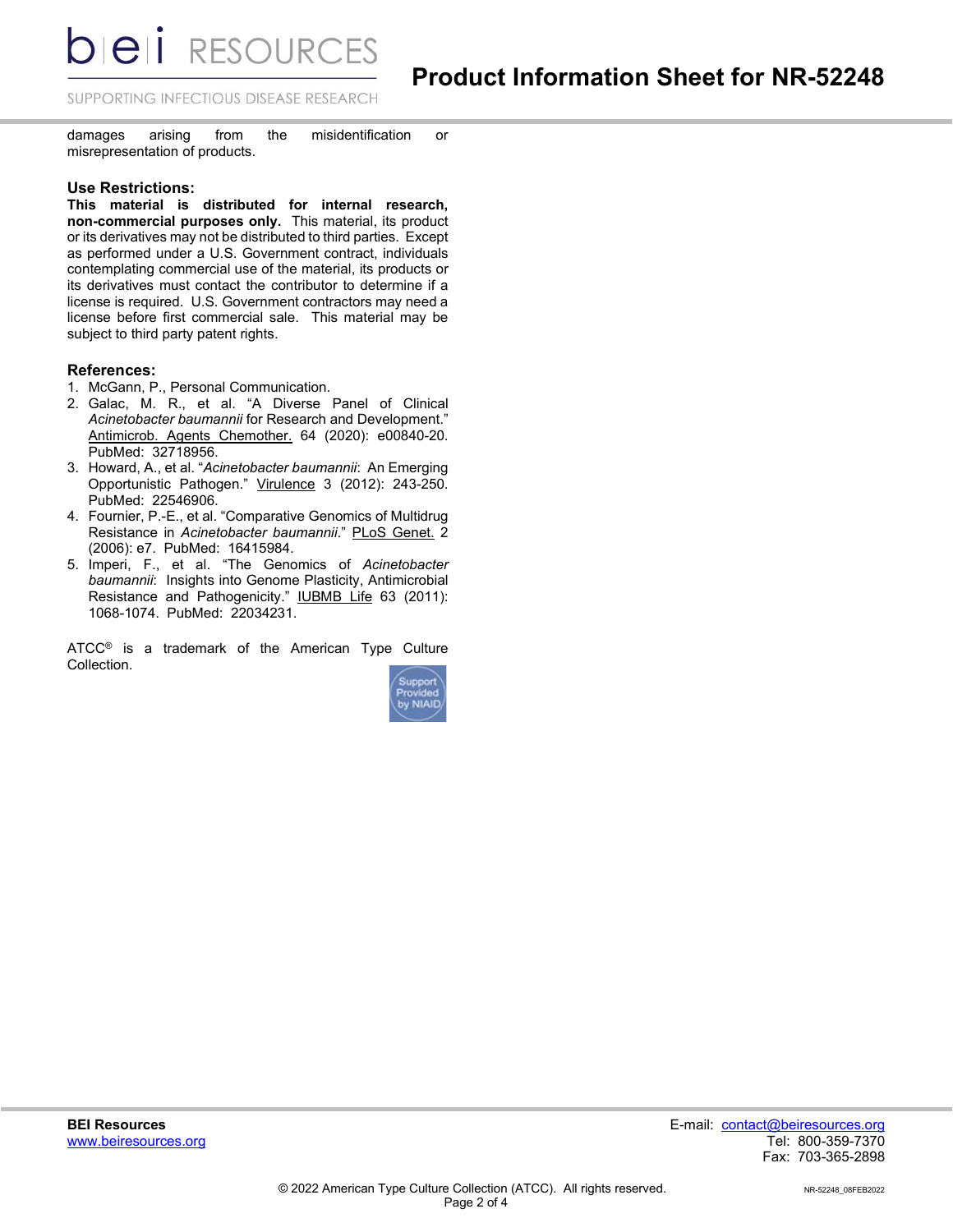**bieli** RESOURCES

SUPPORTING INFECTIOUS DISEASE RESEARCH

damages arising from the misidentification or misrepresentation of products.

#### **Use Restrictions:**

**This material is distributed for internal research, non-commercial purposes only.** This material, its product or its derivatives may not be distributed to third parties. Except as performed under a U.S. Government contract, individuals contemplating commercial use of the material, its products or its derivatives must contact the contributor to determine if a license is required. U.S. Government contractors may need a license before first commercial sale. This material may be subject to third party patent rights.

### **References:**

- 1. McGann, P., Personal Communication.
- 2. Galac, M. R., et al. "A Diverse Panel of Clinical *Acinetobacter baumannii* for Research and Development." Antimicrob. Agents Chemother. 64 (2020): e00840-20. PubMed: 32718956.
- 3. Howard, A., et al. "*Acinetobacter baumannii*: An Emerging Opportunistic Pathogen." Virulence 3 (2012): 243-250. PubMed: 22546906.
- 4. Fournier, P.-E., et al. "Comparative Genomics of Multidrug Resistance in *Acinetobacter baumannii*." PLoS Genet. 2 (2006): e7. PubMed: 16415984.
- 5. Imperi, F., et al. "The Genomics of *Acinetobacter baumannii*: Insights into Genome Plasticity, Antimicrobial Resistance and Pathogenicity." IUBMB Life 63 (2011): 1068-1074. PubMed: 22034231.

ATCC<sup>®</sup> is a trademark of the American Type Culture Collection.

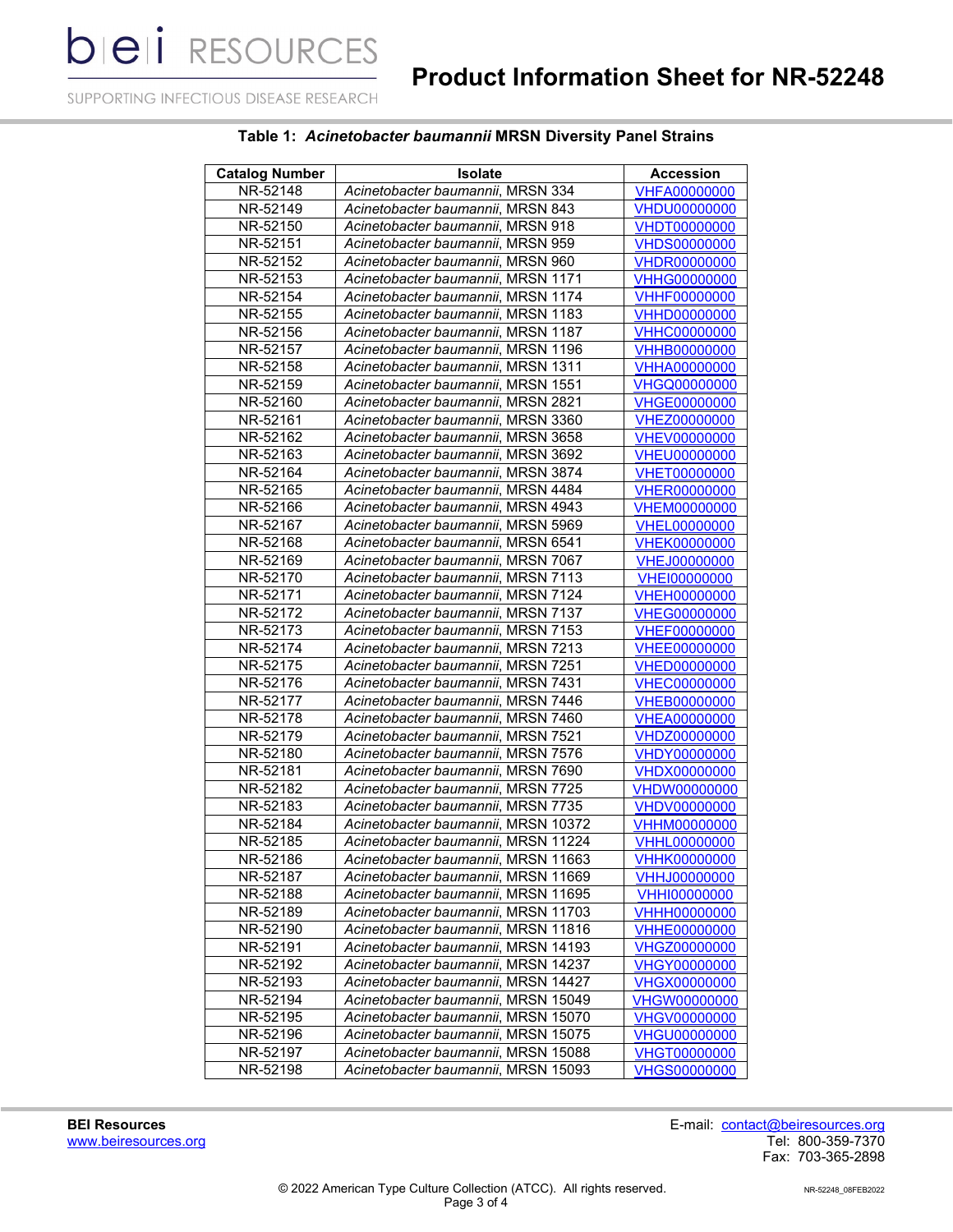**bieli** RESOURCES

SUPPORTING INFECTIOUS DISEASE RESEARCH

# **Table 1:** *Acinetobacter baumannii* **MRSN Diversity Panel Strains**

| <b>Catalog Number</b> | <b>Isolate</b>                      | <b>Accession</b>    |
|-----------------------|-------------------------------------|---------------------|
| NR-52148              | Acinetobacter baumannii, MRSN 334   | <b>VHFA00000000</b> |
| NR-52149              | Acinetobacter baumannii, MRSN 843   | <b>VHDU00000000</b> |
| NR-52150              | Acinetobacter baumannii, MRSN 918   | <b>VHDT00000000</b> |
| NR-52151              | Acinetobacter baumannii, MRSN 959   | <b>VHDS00000000</b> |
| NR-52152              | Acinetobacter baumannii, MRSN 960   | <b>VHDR00000000</b> |
| NR-52153              | Acinetobacter baumannii, MRSN 1171  | <b>VHHG00000000</b> |
| NR-52154              | Acinetobacter baumannii, MRSN 1174  | <b>VHHF00000000</b> |
| NR-52155              | Acinetobacter baumannii, MRSN 1183  | <b>VHHD00000000</b> |
| NR-52156              | Acinetobacter baumannii, MRSN 1187  | <b>VHHC00000000</b> |
| NR-52157              | Acinetobacter baumannii, MRSN 1196  | <b>VHHB00000000</b> |
| NR-52158              | Acinetobacter baumannii, MRSN 1311  | <b>VHHA00000000</b> |
| NR-52159              | Acinetobacter baumannii, MRSN 1551  | <b>VHGQ00000000</b> |
| NR-52160              | Acinetobacter baumannii, MRSN 2821  | <b>VHGE00000000</b> |
| NR-52161              | Acinetobacter baumannii, MRSN 3360  | <b>VHEZ00000000</b> |
| NR-52162              | Acinetobacter baumannii, MRSN 3658  | <b>VHEV00000000</b> |
| NR-52163              | Acinetobacter baumannii, MRSN 3692  | <b>VHEU00000000</b> |
| NR-52164              | Acinetobacter baumannii, MRSN 3874  | <b>VHET00000000</b> |
| NR-52165              | Acinetobacter baumannii, MRSN 4484  | <b>VHER00000000</b> |
| NR-52166              | Acinetobacter baumannii, MRSN 4943  | <b>VHEM00000000</b> |
| NR-52167              | Acinetobacter baumannii, MRSN 5969  | <b>VHEL00000000</b> |
| NR-52168              | Acinetobacter baumannii, MRSN 6541  | <b>VHEK00000000</b> |
| NR-52169              | Acinetobacter baumannii, MRSN 7067  | <b>VHEJ00000000</b> |
| NR-52170              | Acinetobacter baumannii, MRSN 7113  | <b>VHEI00000000</b> |
| NR-52171              | Acinetobacter baumannii, MRSN 7124  | <b>VHEH00000000</b> |
| NR-52172              | Acinetobacter baumannii, MRSN 7137  | <b>VHEG00000000</b> |
| NR-52173              | Acinetobacter baumannii, MRSN 7153  | <b>VHEF00000000</b> |
| NR-52174              | Acinetobacter baumannii, MRSN 7213  | <b>VHEE00000000</b> |
| NR-52175              | Acinetobacter baumannii, MRSN 7251  | <b>VHED00000000</b> |
| NR-52176              | Acinetobacter baumannii, MRSN 7431  | <b>VHEC00000000</b> |
| NR-52177              | Acinetobacter baumannii, MRSN 7446  | <b>VHEB00000000</b> |
| NR-52178              | Acinetobacter baumannii, MRSN 7460  | <b>VHEA00000000</b> |
| NR-52179              | Acinetobacter baumannii, MRSN 7521  | VHDZ00000000        |
| NR-52180              | Acinetobacter baumannii, MRSN 7576  | <b>VHDY00000000</b> |
| NR-52181              | Acinetobacter baumannii, MRSN 7690  | <b>VHDX00000000</b> |
| NR-52182              | Acinetobacter baumannii, MRSN 7725  | <b>VHDW00000000</b> |
| NR-52183              | Acinetobacter baumannii, MRSN 7735  | <b>VHDV00000000</b> |
| NR-52184              | Acinetobacter baumannii, MRSN 10372 | <b>VHHM00000000</b> |
| NR-52185              | Acinetobacter baumannii, MRSN 11224 | <b>VHHL00000000</b> |
| NR-52186              | Acinetobacter baumannii, MRSN 11663 | <b>VHHK00000000</b> |
| NR-52187              | Acinetobacter baumannii, MRSN 11669 | VHHJ00000000        |
| NR-52188              | Acinetobacter baumannii, MRSN 11695 | <u>VHHI00000000</u> |
| NR-52189              | Acinetobacter baumannii, MRSN 11703 | <b>VHHH00000000</b> |
| NR-52190              | Acinetobacter baumannii, MRSN 11816 | VHHE00000000        |
| NR-52191              | Acinetobacter baumannii, MRSN 14193 | <b>VHGZ00000000</b> |
| NR-52192              | Acinetobacter baumannii, MRSN 14237 | <b>VHGY00000000</b> |
| NR-52193              | Acinetobacter baumannii, MRSN 14427 | <b>VHGX00000000</b> |
| NR-52194              | Acinetobacter baumannii, MRSN 15049 | <b>VHGW00000000</b> |
| NR-52195              | Acinetobacter baumannii, MRSN 15070 | <b>VHGV00000000</b> |
| NR-52196              | Acinetobacter baumannii, MRSN 15075 | <b>VHGU00000000</b> |
| NR-52197              | Acinetobacter baumannii, MRSN 15088 | <b>VHGT00000000</b> |
| NR-52198              | Acinetobacter baumannii, MRSN 15093 | VHGS00000000        |